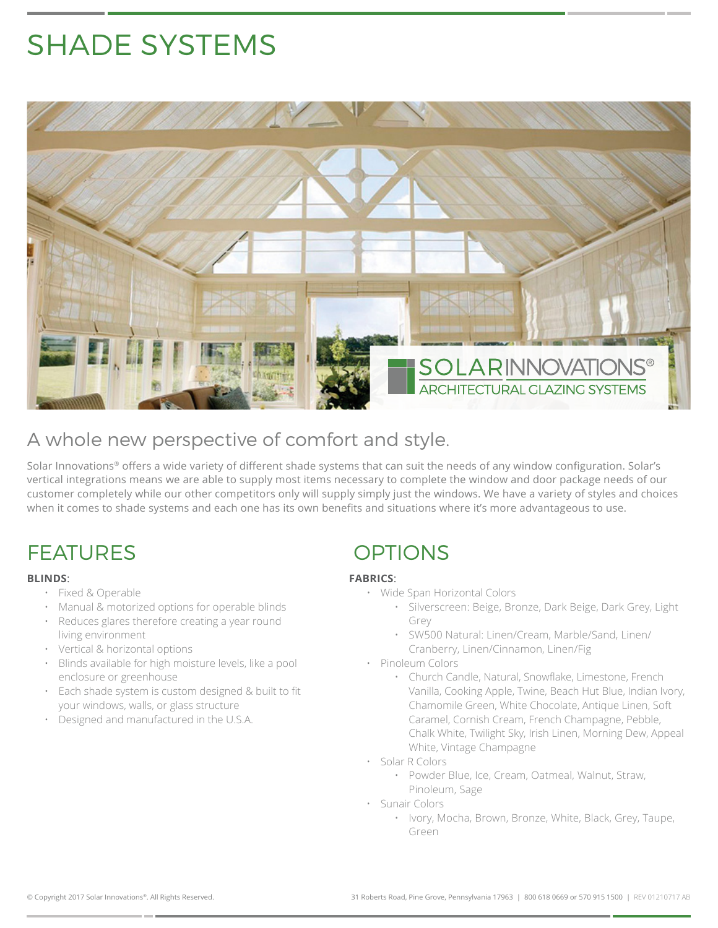# SHADE SYSTEMS



#### A whole new perspective of comfort and style.

Solar Innovations® offers a wide variety of different shade systems that can suit the needs of any window configuration. Solar's vertical integrations means we are able to supply most items necessary to complete the window and door package needs of our customer completely while our other competitors only will supply simply just the windows. We have a variety of styles and choices when it comes to shade systems and each one has its own benefits and situations where it's more advantageous to use.

## FEATURES OPTIONS

#### **BLINDS**:

- Fixed & Operable
- Manual & motorized options for operable blinds
- Reduces glares therefore creating a year round living environment
- Vertical & horizontal options
- Blinds available for high moisture levels, like a pool enclosure or greenhouse
- Each shade system is custom designed & built to fit your windows, walls, or glass structure
- Designed and manufactured in the U.S.A.

#### **FABRICS**:

- Wide Span Horizontal Colors
	- Silverscreen: Beige, Bronze, Dark Beige, Dark Grey, Light Grey
	- SW500 Natural: Linen/Cream, Marble/Sand, Linen/ Cranberry, Linen/Cinnamon, Linen/Fig
- Pinoleum Colors
	- Church Candle, Natural, Snowflake, Limestone, French Vanilla, Cooking Apple, Twine, Beach Hut Blue, Indian Ivory, Chamomile Green, White Chocolate, Antique Linen, Soft Caramel, Cornish Cream, French Champagne, Pebble, Chalk White, Twilight Sky, Irish Linen, Morning Dew, Appeal White, Vintage Champagne
- Solar R Colors
	- Powder Blue, Ice, Cream, Oatmeal, Walnut, Straw, Pinoleum, Sage
- Sunair Colors
	- Ivory, Mocha, Brown, Bronze, White, Black, Grey, Taupe, Green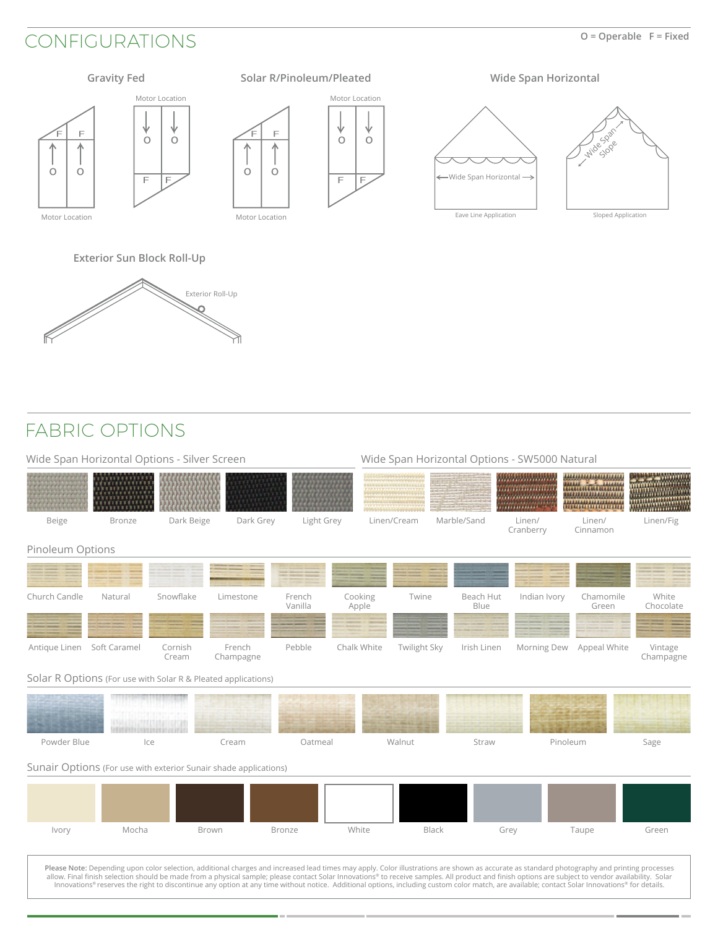### CONFIGURATIONS **O = Operable F = Fixed**

 $\sim$ 



**Exterior Sun Block Roll-Up**



#### FABRIC OPTIONS

| Wide Span Horizontal Options - Silver Screen                     |                          |                  |                     |                   |                  | Wide Span Horizontal Options - SW5000 Natural |                   |                                                                                                                                                                                                                                                                                                                                                                                                                                                                                                                                                                                                       |                                                                                                                                                                                                                                                               |                        |  |
|------------------------------------------------------------------|--------------------------|------------------|---------------------|-------------------|------------------|-----------------------------------------------|-------------------|-------------------------------------------------------------------------------------------------------------------------------------------------------------------------------------------------------------------------------------------------------------------------------------------------------------------------------------------------------------------------------------------------------------------------------------------------------------------------------------------------------------------------------------------------------------------------------------------------------|---------------------------------------------------------------------------------------------------------------------------------------------------------------------------------------------------------------------------------------------------------------|------------------------|--|
|                                                                  |                          |                  |                     |                   |                  |                                               |                   | <u>Trinininininin</u><br><b>THE END OF STREET</b>                                                                                                                                                                                                                                                                                                                                                                                                                                                                                                                                                     | ,,,,,,,,,,,,,,,,,,,,,<br><b>Read Trease</b><br><b>PERTHY.</b><br><u>maaaaaannin</u><br>********************<br>,,,,,,,,,,,,,,,,,,,,,,<br><u> 1999 - 1999 - 1999 - 1999 - 1999 - 1999 - 1999 - 1999 - 1999 - 1999 - 1999 - 1999 - 1999 - 1999 - 1999 - 199</u> | **********<br>mmmmmmmm |  |
| Beige                                                            | <b>Bronze</b>            | Dark Beige       | Dark Grey           | Light Grey        |                  | Linen/Cream                                   | Marble/Sand       | Linen/<br>Cranberry                                                                                                                                                                                                                                                                                                                                                                                                                                                                                                                                                                                   | Linen/<br>Cinnamon                                                                                                                                                                                                                                            | Linen/Fig              |  |
| Pinoleum Options                                                 |                          |                  |                     |                   |                  |                                               |                   |                                                                                                                                                                                                                                                                                                                                                                                                                                                                                                                                                                                                       |                                                                                                                                                                                                                                                               |                        |  |
|                                                                  |                          |                  |                     |                   |                  |                                               |                   |                                                                                                                                                                                                                                                                                                                                                                                                                                                                                                                                                                                                       |                                                                                                                                                                                                                                                               |                        |  |
| Church Candle                                                    | Natural                  | Snowflake        | Limestone           | French<br>Vanilla | Cooking<br>Apple | Twine                                         | Beach Hut<br>Blue | Indian Ivory                                                                                                                                                                                                                                                                                                                                                                                                                                                                                                                                                                                          | Chamomile<br>Green                                                                                                                                                                                                                                            | White<br>Chocolate     |  |
| Antique Linen Soft Caramel                                       |                          | Cornish<br>Cream | French<br>Champagne | Pebble            | Chalk White      | Twilight Sky                                  | Irish Linen       | Morning Dew                                                                                                                                                                                                                                                                                                                                                                                                                                                                                                                                                                                           | Appeal White                                                                                                                                                                                                                                                  | Vintage<br>Champagne   |  |
| Solar R Options (For use with Solar R & Pleated applications)    |                          |                  |                     |                   |                  |                                               |                   |                                                                                                                                                                                                                                                                                                                                                                                                                                                                                                                                                                                                       |                                                                                                                                                                                                                                                               |                        |  |
|                                                                  | <b>THE REAL PROPERTY</b> |                  |                     |                   |                  |                                               |                   |                                                                                                                                                                                                                                                                                                                                                                                                                                                                                                                                                                                                       |                                                                                                                                                                                                                                                               |                        |  |
| Powder Blue                                                      |                          | Ice              | Cream               | Oatmeal           |                  | Walnut                                        | Straw             |                                                                                                                                                                                                                                                                                                                                                                                                                                                                                                                                                                                                       | Pinoleum                                                                                                                                                                                                                                                      | Sage                   |  |
| Sunair Options (For use with exterior Sunair shade applications) |                          |                  |                     |                   |                  |                                               |                   |                                                                                                                                                                                                                                                                                                                                                                                                                                                                                                                                                                                                       |                                                                                                                                                                                                                                                               |                        |  |
|                                                                  |                          |                  |                     |                   |                  |                                               |                   |                                                                                                                                                                                                                                                                                                                                                                                                                                                                                                                                                                                                       |                                                                                                                                                                                                                                                               |                        |  |
| Ivory                                                            | Mocha                    |                  | Brown               | <b>Bronze</b>     | White            | <b>Black</b>                                  |                   | Grey                                                                                                                                                                                                                                                                                                                                                                                                                                                                                                                                                                                                  | Taupe                                                                                                                                                                                                                                                         | Green                  |  |
|                                                                  |                          |                  |                     |                   |                  |                                               |                   | Please Note: Depending upon color selection, additional charges and increased lead times may apply. Color illustrations are shown as accurate as standard photography and printing processes<br>allow. Final finish selection should be made from a physical sample; please contact Solar Innovations® to receive samples. All product and finish options are subject to vendor availability. Solar<br>Innovations® reserves the right to discontinue any option at any time without notice. Additional options, including custom color match, are available; contact Solar Innovations® for details. |                                                                                                                                                                                                                                                               |                        |  |

a ma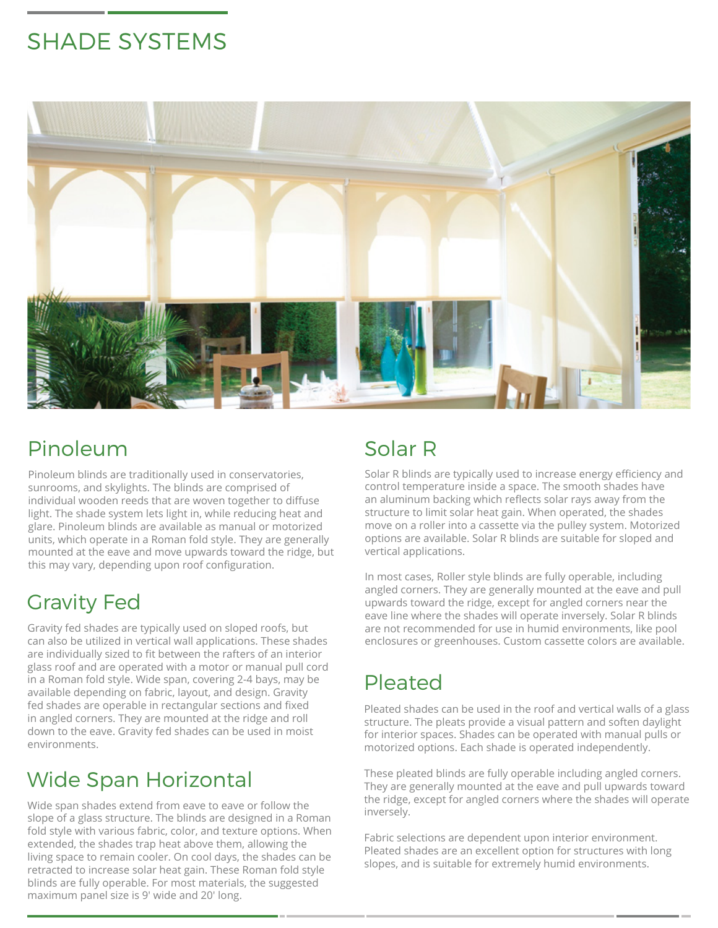# SHADE SYSTEMS



# Pinoleum

Pinoleum blinds are traditionally used in conservatories, sunrooms, and skylights. The blinds are comprised of individual wooden reeds that are woven together to diffuse light. The shade system lets light in, while reducing heat and glare. Pinoleum blinds are available as manual or motorized units, which operate in a Roman fold style. They are generally mounted at the eave and move upwards toward the ridge, but this may vary, depending upon roof configuration.

# Gravity Fed

Gravity fed shades are typically used on sloped roofs, but can also be utilized in vertical wall applications. These shades are individually sized to fit between the rafters of an interior glass roof and are operated with a motor or manual pull cord in a Roman fold style. Wide span, covering 2-4 bays, may be available depending on fabric, layout, and design. Gravity fed shades are operable in rectangular sections and fixed in angled corners. They are mounted at the ridge and roll down to the eave. Gravity fed shades can be used in moist environments.

# Wide Span Horizontal

Wide span shades extend from eave to eave or follow the slope of a glass structure. The blinds are designed in a Roman fold style with various fabric, color, and texture options. When extended, the shades trap heat above them, allowing the living space to remain cooler. On cool days, the shades can be retracted to increase solar heat gain. These Roman fold style blinds are fully operable. For most materials, the suggested maximum panel size is 9' wide and 20' long.

# Solar R

Solar R blinds are typically used to increase energy efficiency and control temperature inside a space. The smooth shades have an aluminum backing which reflects solar rays away from the structure to limit solar heat gain. When operated, the shades move on a roller into a cassette via the pulley system. Motorized options are available. Solar R blinds are suitable for sloped and vertical applications.

In most cases, Roller style blinds are fully operable, including angled corners. They are generally mounted at the eave and pull upwards toward the ridge, except for angled corners near the eave line where the shades will operate inversely. Solar R blinds are not recommended for use in humid environments, like pool enclosures or greenhouses. Custom cassette colors are available.

# Pleated

Pleated shades can be used in the roof and vertical walls of a glass structure. The pleats provide a visual pattern and soften daylight for interior spaces. Shades can be operated with manual pulls or motorized options. Each shade is operated independently.

These pleated blinds are fully operable including angled corners. They are generally mounted at the eave and pull upwards toward the ridge, except for angled corners where the shades will operate inversely.

Fabric selections are dependent upon interior environment. Pleated shades are an excellent option for structures with long slopes, and is suitable for extremely humid environments.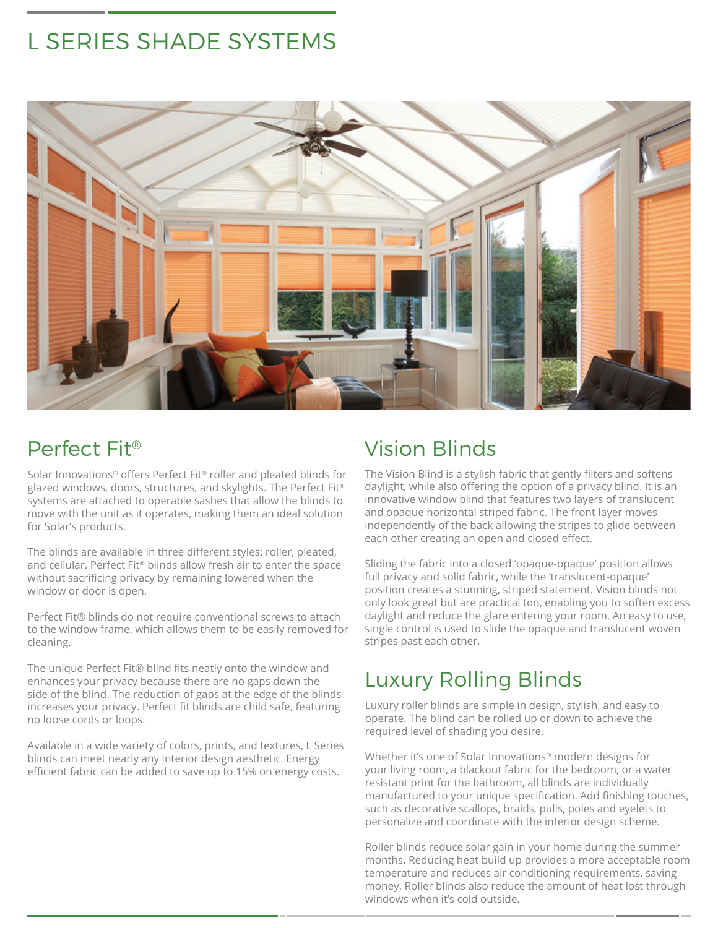# L SERIES SHADE SYSTEMS



# Perfect Fit®

Solar Innovations® offers Perfect Fit® roller and pleated blinds for glazed windows, doors, structures, and skylights. The Perfect Fit® systems are attached to operable sashes that allow the blinds to move with the unit as it operates, making them an ideal solution for Solar's products.

The blinds are available in three different styles: roller, pleated, and cellular. Perfect Fit® blinds allow fresh air to enter the space without sacrificing privacy by remaining lowered when the window or door is open.

Perfect Fit® blinds do not require conventional screws to attach to the window frame, which allows them to be easily removed for cleaning.

The unique Perfect Fit® blind fits neatly onto the window and enhances your privacy because there are no gaps down the side of the blind. The reduction of gaps at the edge of the blinds increases your privacy. Perfect fit blinds are child safe, featuring no loose cords or loops.

Available in a wide variety of colors, prints, and textures, L Series blinds can meet nearly any interior design aesthetic. Energy efficient fabric can be added to save up to 15% on energy costs.

# Vision Blinds

The Vision Blind is a stylish fabric that gently filters and softens daylight, while also offering the option of a privacy blind. It is an innovative window blind that features two layers of translucent and opaque horizontal striped fabric. The front layer moves independently of the back allowing the stripes to glide between each other creating an open and closed effect.

Sliding the fabric into a closed 'opaque-opaque' position allows full privacy and solid fabric, while the 'translucent-opaque' position creates a stunning, striped statement. Vision blinds not only look great but are practical too, enabling you to soften excess daylight and reduce the glare entering your room. An easy to use, single control is used to slide the opaque and translucent woven stripes past each other.

# Luxury Rolling Blinds

Luxury roller blinds are simple in design, stylish, and easy to operate. The blind can be rolled up or down to achieve the required level of shading you desire.

Whether it's one of Solar Innovations® modern designs for your living room, a blackout fabric for the bedroom, or a water resistant print for the bathroom, all blinds are individually manufactured to your unique specification. Add finishing touches, such as decorative scallops, braids, pulls, poles and eyelets to personalize and coordinate with the interior design scheme.

Roller blinds reduce solar gain in your home during the summer months. Reducing heat build up provides a more acceptable room temperature and reduces air conditioning requirements, saving money. Roller blinds also reduce the amount of heat lost through windows when it's cold outside.